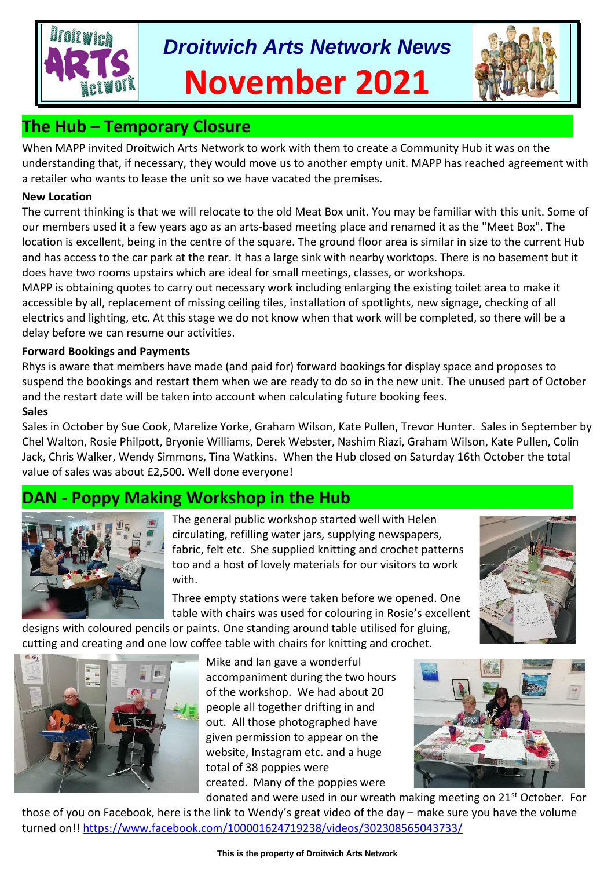# *Droitwich Arts Network News* **November 2021**



# **The Hub – Temporary Closure**

When MAPP invited Droitwich Arts Network to work with them to create a Community Hub it was on the understanding that, if necessary, they would move us to another empty unit. MAPP has reached agreement with a retailer who wants to lease the unit so we have vacated the premises.

#### **New Location**

The current thinking is that we will relocate to the old Meat Box unit. You may be familiar with this unit. Some of our members used it a few years ago as an arts-based meeting place and renamed it as the "Meet Box". The location is excellent, being in the centre of the square. The ground floor area is similar in size to the current Hub and has access to the car park at the rear. It has a large sink with nearby worktops. There is no basement but it does have two rooms upstairs which are ideal for small meetings, classes, or workshops.

MAPP is obtaining quotes to carry out necessary work including enlarging the existing toilet area to make it accessible by all, replacement of missing ceiling tiles, installation of spotlights, new signage, checking of all electrics and lighting, etc. At this stage we do not know when that work will be completed, so there will be a delay before we can resume our activities.

#### **Forward Bookings and Payments**

Rhys is aware that members have made (and paid for) forward bookings for display space and proposes to suspend the bookings and restart them when we are ready to do so in the new unit. The unused part of October and the restart date will be taken into account when calculating future booking fees. **Sales**

Sales in October by Sue Cook, Marelize Yorke, Graham Wilson, Kate Pullen, Trevor Hunter. Sales in September by Chel Walton, Rosie Philpott, Bryonie Williams, Derek Webster, Nashim Riazi, Graham Wilson, Kate Pullen, Colin Jack, Chris Walker, Wendy Simmons, Tina Watkins. When the Hub closed on Saturday 16th October the total value of sales was about £2,500. Well done everyone!

## **Poppy Making Workshop in the Hub**



The general public workshop started well with Helen circulating, refilling water jars, supplying newspapers, fabric, felt etc. She supplied knitting and crochet patterns too and a host of lovely materials for our visitors to work with.

Three empty stations were taken before we opened. One table with chairs was used for colouring in Rosie's excellent

designs with coloured pencils or paints. One standing around table utilised for gluing, cutting and creating and one low coffee table with chairs for knitting and crochet.



Mike and Ian gave a wonderful accompaniment during the two hours of the workshop. We had about 20 people all together drifting in and out. All those photographed have given permission to appear on the website, Instagram etc. and a huge total of 38 poppies were created. Many of the poppies were



donated and were used in our wreath making meeting on 21st October. For those of you on Facebook, here is the link to Wendy's great video of the day – make sure you have the volume turned on!!<https://www.facebook.com/100001624719238/videos/302308565043733/>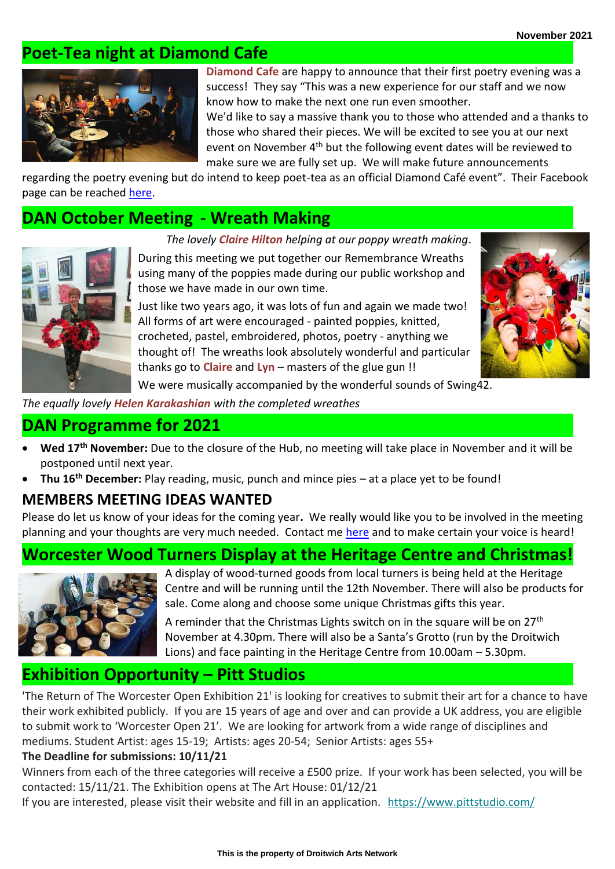## **Poet-Tea night at Diamond Cafe**



**Diamond Cafe** are happy to announce that their first poetry evening was a success! They say "This was a new experience for our staff and we now know how to make the next one run even smoother.

We'd like to say a massive thank you to those who attended and a thanks to those who shared their pieces. We will be excited to see you at our next event on November 4<sup>th</sup> but the following event dates will be reviewed to make sure we are fully set up. We will make future announcements

regarding the poetry evening but do intend to keep poet-tea as an official Diamond Café event". Their Facebook page can be reached [here.](https://www.facebook.com/Diamondcafeandbar)

## **DAN October Meeting - Wreath Making**

*The lovely Claire Hilton helping at our poppy wreath making*.



During this meeting we put together our Remembrance Wreaths using many of the poppies made during our public workshop and those we have made in our own time.

Just like two years ago, it was lots of fun and again we made two! All forms of art were encouraged - painted poppies, knitted, crocheted, pastel, embroidered, photos, poetry - anything we thought of! The wreaths look absolutely wonderful and particular thanks go to **Claire** and **Lyn** – masters of the glue gun !!



We were musically accompanied by the wonderful sounds of Swing42.

*The equally lovely Helen Karakashian with the completed wreathes*

## **DAN Programme for 2021**

- **Wed 17th November:** Due to the closure of the Hub, no meeting will take place in November and it will be postponed until next year.
- **Thu 16th December:** Play reading, music, punch and mince pies at a place yet to be found!

### **MEMBERS MEETING IDEAS WANTED**

Please do let us know of your ideas for the coming year**.** We really would like you to be involved in the meeting planning and your thoughts are very much needed. Contact me [here](mailto:tina.watkins.ntlworld.@gmail.com) and to make certain your voice is heard!

# **Worcester Wood Turners Display at the Heritage Centre and Christmas!**



A display of wood-turned goods from local turners is being held at the Heritage Centre and will be running until the 12th November. There will also be products for sale. Come along and choose some unique Christmas gifts this year.

A reminder that the Christmas Lights switch on in the square will be on 27<sup>th</sup> November at 4.30pm. There will also be a Santa's Grotto (run by the Droitwich Lions) and face painting in the Heritage Centre from 10.00am – 5.30pm.

## **Exhibition Opportunity – Pitt Studios**

'The Return of The Worcester Open Exhibition 21' is looking for creatives to submit their art for a chance to have their work exhibited publicly. If you are 15 years of age and over and can provide a UK address, you are eligible to submit work to 'Worcester Open 21'. We are looking for artwork from a wide range of disciplines and mediums. Student Artist: ages 15-19; Artists: ages 20-54; Senior Artists: ages 55+

#### **The Deadline for submissions: 10/11/21**

Winners from each of the three categories will receive a £500 prize. If your work has been selected, you will be contacted: 15/11/21. The Exhibition opens at The Art House: 01/12/21

If you are interested, please visit their website and fill in an application. [https://www.pittstudio.com/](https://severnarts.us13.list-manage.com/track/click?u=d6d0da487b6284b81aaaa7f29&id=fc2ce3ba48&e=5da4842bee)